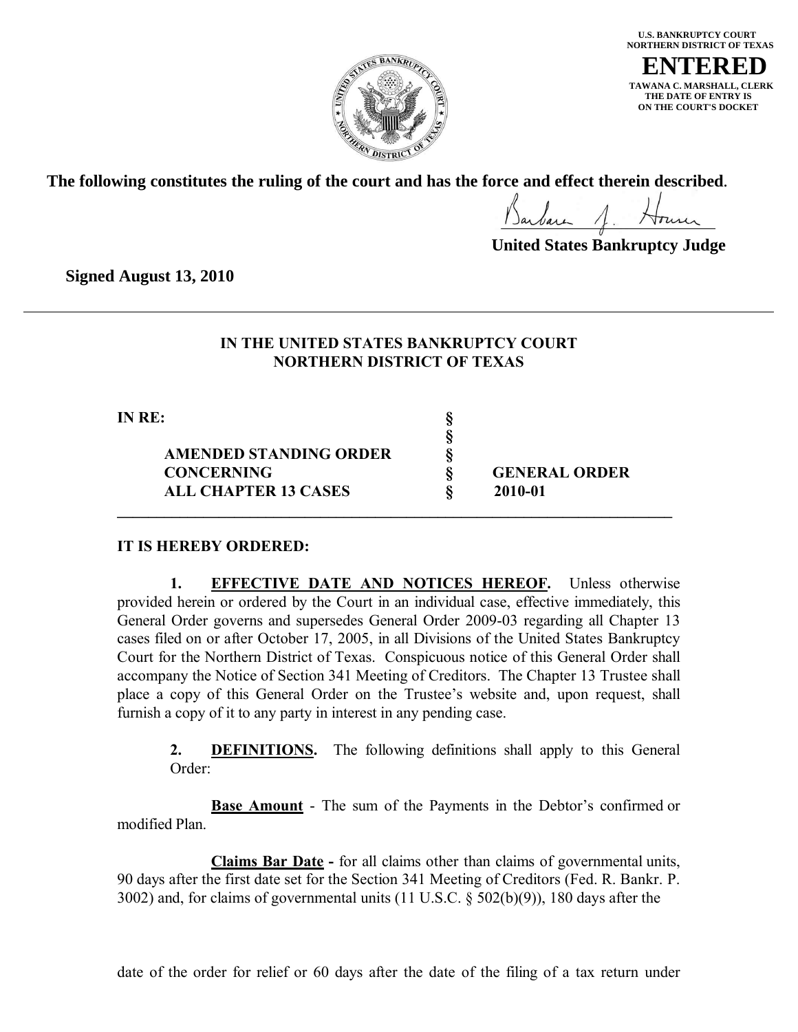

**U.S. BANKRUPTCY COURT NORTHERN DISTRICT OF TEXAS ENTERED TAWANA C. MARSHALL, CLERK THE DATE OF ENTRY IS ON THE COURT'S DOCKET**

**The following constitutes the ruling of the court and has the force and effect therein described**.

**United States Bankruptcy Judge**

**Signed August 13, 2010**

## **IN THE UNITED STATES BANKRUPTCY COURT NORTHERN DISTRICT OF TEXAS**

**§**

**IN RE: §**

**AMENDED STANDING ORDER § CONCERNING § GENERAL ORDER ALL CHAPTER 13 CASES § 2010-01**

#### **IT IS HEREBY ORDERED:**

**1. EFFECTIVE DATE AND NOTICES HEREOF.** Unless otherwise provided herein or ordered by the Court in an individual case, effective immediately, this General Order governs and supersedes General Order 2009-03 regarding all Chapter 13 cases filed on or after October 17, 2005, in all Divisions of the United States Bankruptcy Court for the Northern District of Texas. Conspicuous notice of this General Order shall accompany the Notice of Section 341 Meeting of Creditors. The Chapter 13 Trustee shall place a copy of this General Order on the Trustee's website and, upon request, shall furnish a copy of it to any party in interest in any pending case.

**\_\_\_\_\_\_\_\_\_\_\_\_\_\_\_\_\_\_\_\_\_\_\_\_\_\_\_\_\_\_\_\_\_\_\_\_\_\_\_\_\_\_\_\_\_\_\_\_\_\_\_\_\_\_\_\_\_\_\_\_\_\_\_\_\_\_\_\_\_\_\_**

**2. DEFINITIONS.** The following definitions shall apply to this General Order:

**Base Amount** - The sum of the Payments in the Debtor's confirmed or modified Plan.

**Claims Bar Date -** for all claims other than claims of governmental units, 90 days after the first date set for the Section 341 Meeting of Creditors (Fed. R. Bankr. P. 3002) and, for claims of governmental units (11 U.S.C. § 502(b)(9)), 180 days after the

date of the order for relief or 60 days after the date of the filing of a tax return under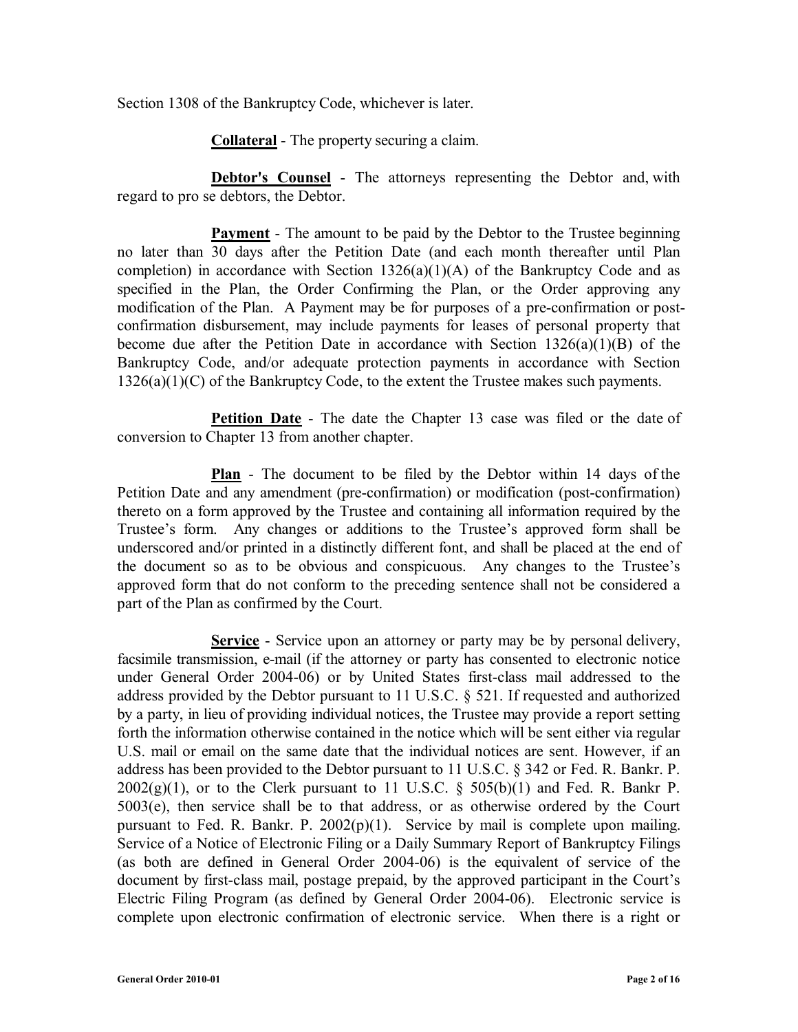Section 1308 of the Bankruptcy Code, whichever is later.

**Collateral** - The property securing a claim.

**Debtor's Counsel** - The attorneys representing the Debtor and, with regard to pro se debtors, the Debtor.

**Payment** - The amount to be paid by the Debtor to the Trustee beginning no later than 30 days after the Petition Date (and each month thereafter until Plan completion) in accordance with Section  $1326(a)(1)(A)$  of the Bankruptcy Code and as specified in the Plan, the Order Confirming the Plan, or the Order approving any modification of the Plan. A Payment may be for purposes of a pre-confirmation or postconfirmation disbursement, may include payments for leases of personal property that become due after the Petition Date in accordance with Section  $1326(a)(1)(B)$  of the Bankruptcy Code, and/or adequate protection payments in accordance with Section 1326(a)(1)(C) of the Bankruptcy Code, to the extent the Trustee makes such payments.

**Petition Date** - The date the Chapter 13 case was filed or the date of conversion to Chapter 13 from another chapter.

**Plan** - The document to be filed by the Debtor within 14 days of the Petition Date and any amendment (pre-confirmation) or modification (post-confirmation) thereto on a form approved by the Trustee and containing all information required by the Trustee's form. Any changes or additions to the Trustee's approved form shall be underscored and/or printed in a distinctly different font, and shall be placed at the end of the document so as to be obvious and conspicuous. Any changes to the Trustee's approved form that do not conform to the preceding sentence shall not be considered a part of the Plan as confirmed by the Court.

**Service** - Service upon an attorney or party may be by personal delivery, facsimile transmission, e-mail (if the attorney or party has consented to electronic notice under General Order 2004-06) or by United States first-class mail addressed to the address provided by the Debtor pursuant to 11 U.S.C. § 521. If requested and authorized by a party, in lieu of providing individual notices, the Trustee may provide a report setting forth the information otherwise contained in the notice which will be sent either via regular U.S. mail or email on the same date that the individual notices are sent. However, if an address has been provided to the Debtor pursuant to 11 U.S.C. § 342 or Fed. R. Bankr. P.  $2002(g)(1)$ , or to the Clerk pursuant to 11 U.S.C. § 505(b)(1) and Fed. R. Bankr P. 5003(e), then service shall be to that address, or as otherwise ordered by the Court pursuant to Fed. R. Bankr. P. 2002(p)(1). Service by mail is complete upon mailing. Service of a Notice of Electronic Filing or a Daily Summary Report of Bankruptcy Filings (as both are defined in General Order 2004-06) is the equivalent of service of the document by first-class mail, postage prepaid, by the approved participant in the Court's Electric Filing Program (as defined by General Order 2004-06). Electronic service is complete upon electronic confirmation of electronic service. When there is a right or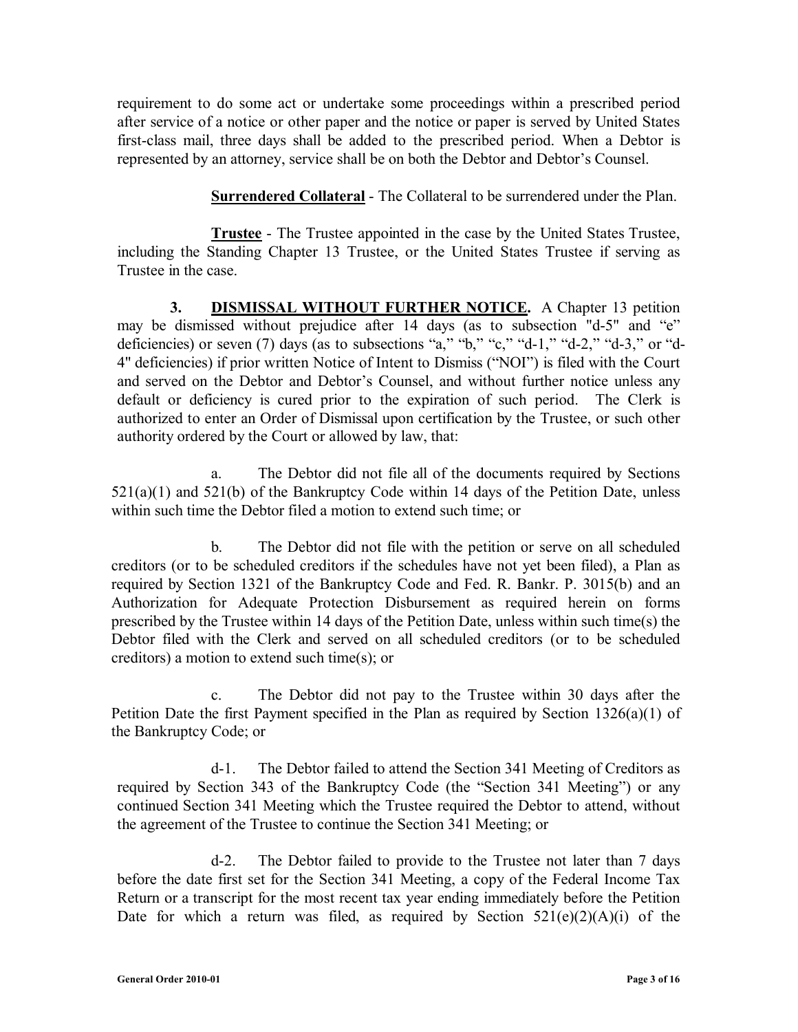requirement to do some act or undertake some proceedings within a prescribed period after service of a notice or other paper and the notice or paper is served by United States first-class mail, three days shall be added to the prescribed period. When a Debtor is represented by an attorney, service shall be on both the Debtor and Debtor's Counsel.

**Surrendered Collateral** - The Collateral to be surrendered under the Plan.

**Trustee** - The Trustee appointed in the case by the United States Trustee, including the Standing Chapter 13 Trustee, or the United States Trustee if serving as Trustee in the case.

**3. DISMISSAL WITHOUT FURTHER NOTICE.** A Chapter 13 petition may be dismissed without prejudice after 14 days (as to subsection "d-5" and "e" deficiencies) or seven (7) days (as to subsections "a," "b," "c," "d-1," "d-2," "d-3," or "d-4" deficiencies) if prior written Notice of Intent to Dismiss ("NOI") is filed with the Court and served on the Debtor and Debtor's Counsel, and without further notice unless any default or deficiency is cured prior to the expiration of such period. The Clerk is authorized to enter an Order of Dismissal upon certification by the Trustee, or such other authority ordered by the Court or allowed by law, that:

a. The Debtor did not file all of the documents required by Sections  $521(a)(1)$  and  $521(b)$  of the Bankruptcy Code within 14 days of the Petition Date, unless within such time the Debtor filed a motion to extend such time; or

b. The Debtor did not file with the petition or serve on all scheduled creditors (or to be scheduled creditors if the schedules have not yet been filed), a Plan as required by Section 1321 of the Bankruptcy Code and Fed. R. Bankr. P. 3015(b) and an Authorization for Adequate Protection Disbursement as required herein on forms prescribed by the Trustee within 14 days of the Petition Date, unless within such time(s) the Debtor filed with the Clerk and served on all scheduled creditors (or to be scheduled creditors) a motion to extend such time(s); or

c. The Debtor did not pay to the Trustee within 30 days after the Petition Date the first Payment specified in the Plan as required by Section 1326(a)(1) of the Bankruptcy Code; or

d-1. The Debtor failed to attend the Section 341 Meeting of Creditors as required by Section 343 of the Bankruptcy Code (the "Section 341 Meeting") or any continued Section 341 Meeting which the Trustee required the Debtor to attend, without the agreement of the Trustee to continue the Section 341 Meeting; or

d-2. The Debtor failed to provide to the Trustee not later than 7 days before the date first set for the Section 341 Meeting, a copy of the Federal Income Tax Return or a transcript for the most recent tax year ending immediately before the Petition Date for which a return was filed, as required by Section  $521(e)(2)(A)(i)$  of the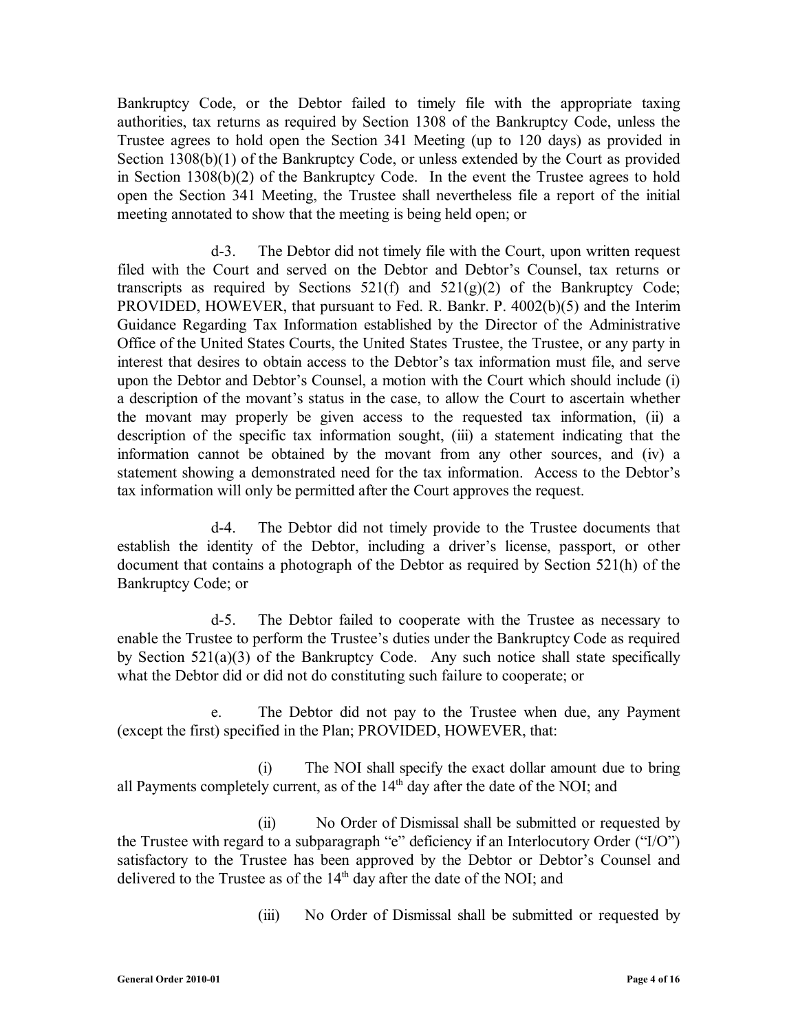Bankruptcy Code, or the Debtor failed to timely file with the appropriate taxing authorities, tax returns as required by Section 1308 of the Bankruptcy Code, unless the Trustee agrees to hold open the Section 341 Meeting (up to 120 days) as provided in Section 1308(b)(1) of the Bankruptcy Code, or unless extended by the Court as provided in Section 1308(b)(2) of the Bankruptcy Code. In the event the Trustee agrees to hold open the Section 341 Meeting, the Trustee shall nevertheless file a report of the initial meeting annotated to show that the meeting is being held open; or

d-3. The Debtor did not timely file with the Court, upon written request filed with the Court and served on the Debtor and Debtor's Counsel, tax returns or transcripts as required by Sections  $521(f)$  and  $521(g)(2)$  of the Bankruptcy Code; PROVIDED, HOWEVER, that pursuant to Fed. R. Bankr. P. 4002(b)(5) and the Interim Guidance Regarding Tax Information established by the Director of the Administrative Office of the United States Courts, the United States Trustee, the Trustee, or any party in interest that desires to obtain access to the Debtor's tax information must file, and serve upon the Debtor and Debtor's Counsel, a motion with the Court which should include (i) a description of the movant's status in the case, to allow the Court to ascertain whether the movant may properly be given access to the requested tax information, (ii) a description of the specific tax information sought, (iii) a statement indicating that the information cannot be obtained by the movant from any other sources, and (iv) a statement showing a demonstrated need for the tax information. Access to the Debtor's tax information will only be permitted after the Court approves the request.

d-4. The Debtor did not timely provide to the Trustee documents that establish the identity of the Debtor, including a driver's license, passport, or other document that contains a photograph of the Debtor as required by Section 521(h) of the Bankruptcy Code; or

d-5. The Debtor failed to cooperate with the Trustee as necessary to enable the Trustee to perform the Trustee's duties under the Bankruptcy Code as required by Section 521(a)(3) of the Bankruptcy Code. Any such notice shall state specifically what the Debtor did or did not do constituting such failure to cooperate; or

e. The Debtor did not pay to the Trustee when due, any Payment (except the first) specified in the Plan; PROVIDED, HOWEVER, that:

(i) The NOI shall specify the exact dollar amount due to bring all Payments completely current, as of the 14<sup>th</sup> day after the date of the NOI; and

(ii) No Order of Dismissal shall be submitted or requested by the Trustee with regard to a subparagraph "e" deficiency if an Interlocutory Order ("I/O") satisfactory to the Trustee has been approved by the Debtor or Debtor's Counsel and delivered to the Trustee as of the  $14<sup>th</sup>$  day after the date of the NOI; and

(iii) No Order of Dismissal shall be submitted or requested by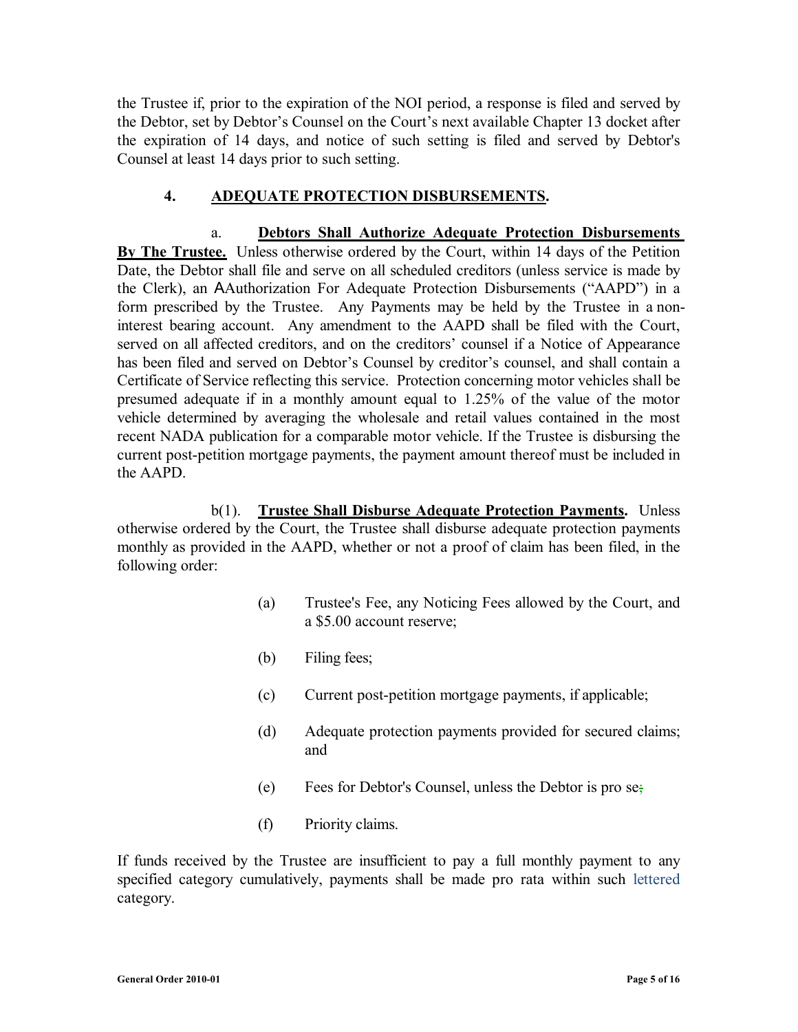the Trustee if, prior to the expiration of the NOI period, a response is filed and served by the Debtor, set by Debtor's Counsel on the Court's next available Chapter 13 docket after the expiration of 14 days, and notice of such setting is filed and served by Debtor's Counsel at least 14 days prior to such setting.

#### **4. ADEQUATE PROTECTION DISBURSEMENTS.**

a. **Debtors Shall Authorize Adequate Protection Disbursements By The Trustee.** Unless otherwise ordered by the Court, within 14 days of the Petition Date, the Debtor shall file and serve on all scheduled creditors (unless service is made by the Clerk), an AAuthorization For Adequate Protection Disbursements ("AAPD") in a form prescribed by the Trustee. Any Payments may be held by the Trustee in a noninterest bearing account. Any amendment to the AAPD shall be filed with the Court, served on all affected creditors, and on the creditors' counsel if a Notice of Appearance has been filed and served on Debtor's Counsel by creditor's counsel, and shall contain a Certificate of Service reflecting this service. Protection concerning motor vehicles shall be presumed adequate if in a monthly amount equal to 1.25% of the value of the motor vehicle determined by averaging the wholesale and retail values contained in the most recent NADA publication for a comparable motor vehicle. If the Trustee is disbursing the current post-petition mortgage payments, the payment amount thereof must be included in the AAPD.

b(1). **Trustee Shall Disburse Adequate Protection Payments.** Unless otherwise ordered by the Court, the Trustee shall disburse adequate protection payments monthly as provided in the AAPD, whether or not a proof of claim has been filed, in the following order:

- (a) Trustee's Fee, any Noticing Fees allowed by the Court, and a \$5.00 account reserve;
- (b) Filing fees;
- (c) Current post-petition mortgage payments, if applicable;
- (d) Adequate protection payments provided for secured claims; and
- (e) Fees for Debtor's Counsel, unless the Debtor is pro se;
- (f) Priority claims.

If funds received by the Trustee are insufficient to pay a full monthly payment to any specified category cumulatively, payments shall be made pro rata within such lettered category.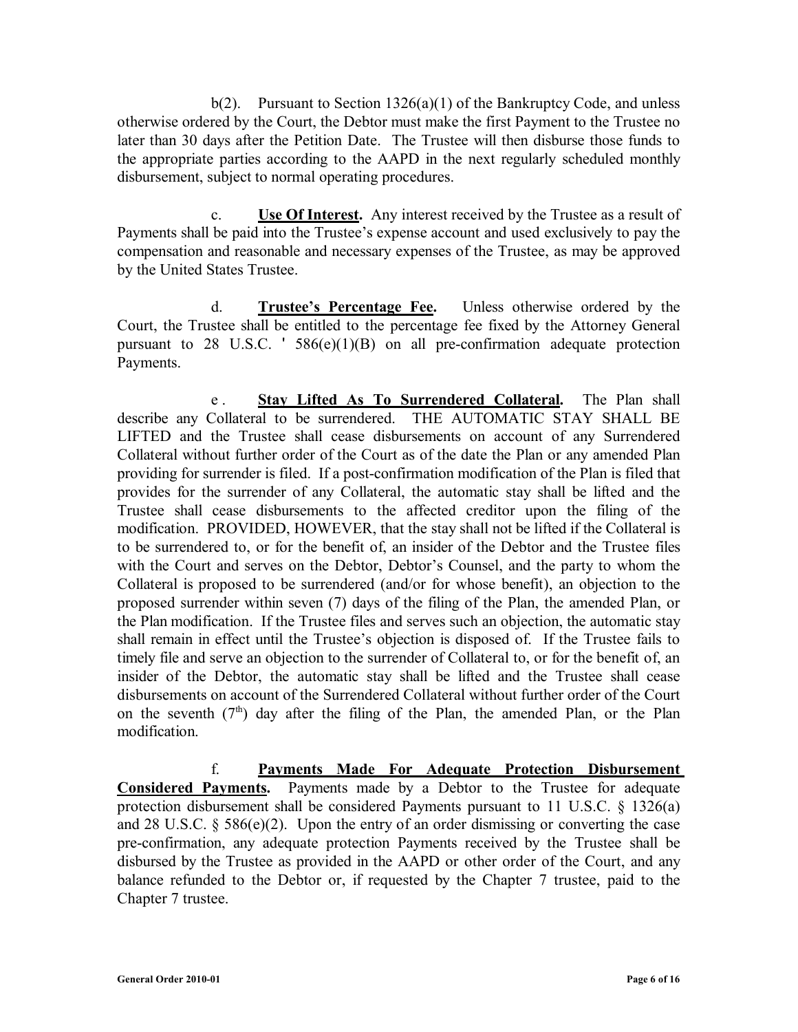b(2). Pursuant to Section  $1326(a)(1)$  of the Bankruptcy Code, and unless otherwise ordered by the Court, the Debtor must make the first Payment to the Trustee no later than 30 days after the Petition Date. The Trustee will then disburse those funds to the appropriate parties according to the AAPD in the next regularly scheduled monthly disbursement, subject to normal operating procedures.

c. **Use Of Interest.** Any interest received by the Trustee as a result of Payments shall be paid into the Trustee's expense account and used exclusively to pay the compensation and reasonable and necessary expenses of the Trustee, as may be approved by the United States Trustee.

d. **Trustee's Percentage Fee.** Unless otherwise ordered by the Court, the Trustee shall be entitled to the percentage fee fixed by the Attorney General pursuant to 28 U.S.C. ' 586(e)(1)(B) on all pre-confirmation adequate protection Payments.

e . **Stay Lifted As To Surrendered Collateral.** The Plan shall describe any Collateral to be surrendered. THE AUTOMATIC STAY SHALL BE LIFTED and the Trustee shall cease disbursements on account of any Surrendered Collateral without further order of the Court as of the date the Plan or any amended Plan providing for surrender is filed. If a post-confirmation modification of the Plan is filed that provides for the surrender of any Collateral, the automatic stay shall be lifted and the Trustee shall cease disbursements to the affected creditor upon the filing of the modification. PROVIDED, HOWEVER, that the stay shall not be lifted if the Collateral is to be surrendered to, or for the benefit of, an insider of the Debtor and the Trustee files with the Court and serves on the Debtor, Debtor's Counsel, and the party to whom the Collateral is proposed to be surrendered (and/or for whose benefit), an objection to the proposed surrender within seven (7) days of the filing of the Plan, the amended Plan, or the Plan modification. If the Trustee files and serves such an objection, the automatic stay shall remain in effect until the Trustee's objection is disposed of. If the Trustee fails to timely file and serve an objection to the surrender of Collateral to, or for the benefit of, an insider of the Debtor, the automatic stay shall be lifted and the Trustee shall cease disbursements on account of the Surrendered Collateral without further order of the Court on the seventh  $(7<sup>th</sup>)$  day after the filing of the Plan, the amended Plan, or the Plan modification.

f. **Payments Made For Adequate Protection Disbursement Considered Payments.** Payments made by a Debtor to the Trustee for adequate protection disbursement shall be considered Payments pursuant to 11 U.S.C. § 1326(a) and 28 U.S.C.  $\S 586(e)(2)$ . Upon the entry of an order dismissing or converting the case pre-confirmation, any adequate protection Payments received by the Trustee shall be disbursed by the Trustee as provided in the AAPD or other order of the Court, and any balance refunded to the Debtor or, if requested by the Chapter 7 trustee, paid to the Chapter 7 trustee.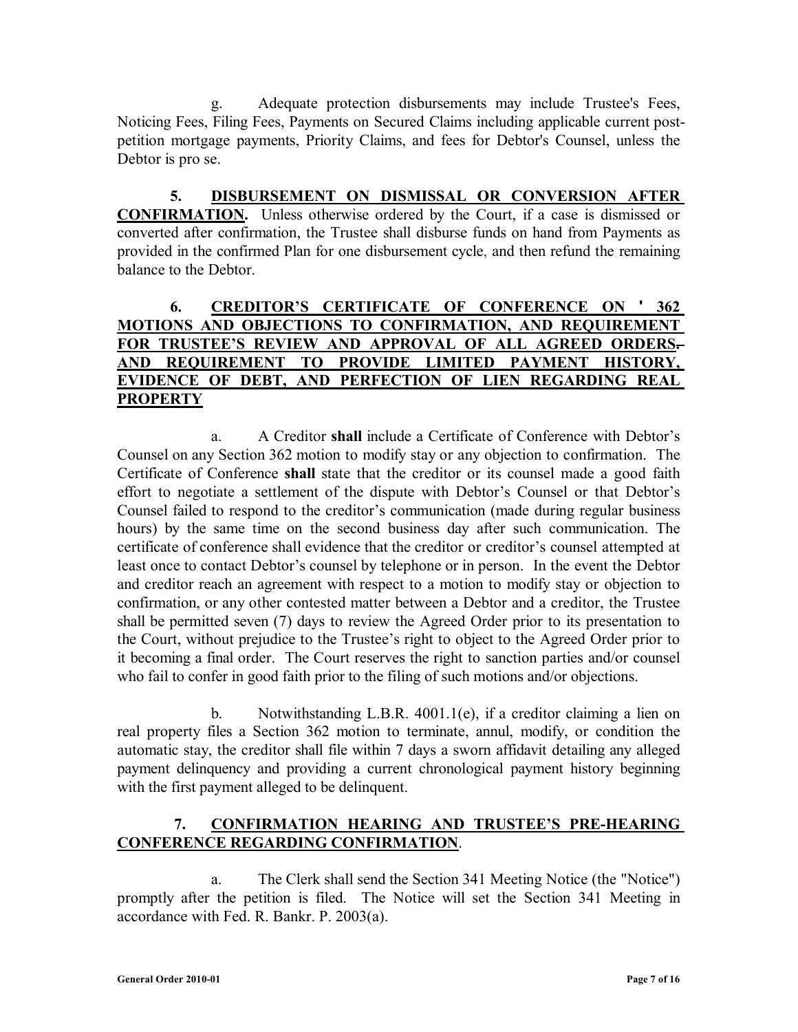g. Adequate protection disbursements may include Trustee's Fees, Noticing Fees, Filing Fees, Payments on Secured Claims including applicable current postpetition mortgage payments, Priority Claims, and fees for Debtor's Counsel, unless the Debtor is pro se.

**5. DISBURSEMENT ON DISMISSAL OR CONVERSION AFTER CONFIRMATION.** Unless otherwise ordered by the Court, if a case is dismissed or converted after confirmation, the Trustee shall disburse funds on hand from Payments as provided in the confirmed Plan for one disbursement cycle, and then refund the remaining balance to the Debtor.

## **6. CREDITOR'S CERTIFICATE OF CONFERENCE ON ' 362 MOTIONS AND OBJECTIONS TO CONFIRMATION, AND REQUIREMENT FOR TRUSTEE'S REVIEW AND APPROVAL OF ALL AGREED ORDERS. AND REQUIREMENT TO PROVIDE LIMITED PAYMENT HISTORY, EVIDENCE OF DEBT, AND PERFECTION OF LIEN REGARDING REAL PROPERTY**

a. A Creditor **shall** include a Certificate of Conference with Debtor's Counsel on any Section 362 motion to modify stay or any objection to confirmation. The Certificate of Conference **shall** state that the creditor or its counsel made a good faith effort to negotiate a settlement of the dispute with Debtor's Counsel or that Debtor's Counsel failed to respond to the creditor's communication (made during regular business hours) by the same time on the second business day after such communication. The certificate of conference shall evidence that the creditor or creditor's counsel attempted at least once to contact Debtor's counsel by telephone or in person. In the event the Debtor and creditor reach an agreement with respect to a motion to modify stay or objection to confirmation, or any other contested matter between a Debtor and a creditor, the Trustee shall be permitted seven (7) days to review the Agreed Order prior to its presentation to the Court, without prejudice to the Trustee's right to object to the Agreed Order prior to it becoming a final order. The Court reserves the right to sanction parties and/or counsel who fail to confer in good faith prior to the filing of such motions and/or objections.

b. Notwithstanding L.B.R. 4001.1(e), if a creditor claiming a lien on real property files a Section 362 motion to terminate, annul, modify, or condition the automatic stay, the creditor shall file within 7 days a sworn affidavit detailing any alleged payment delinquency and providing a current chronological payment history beginning with the first payment alleged to be delinquent.

# **7. CONFIRMATION HEARING AND TRUSTEE'S PRE-HEARING CONFERENCE REGARDING CONFIRMATION**.

a. The Clerk shall send the Section 341 Meeting Notice (the "Notice") promptly after the petition is filed. The Notice will set the Section 341 Meeting in accordance with Fed. R. Bankr. P. 2003(a).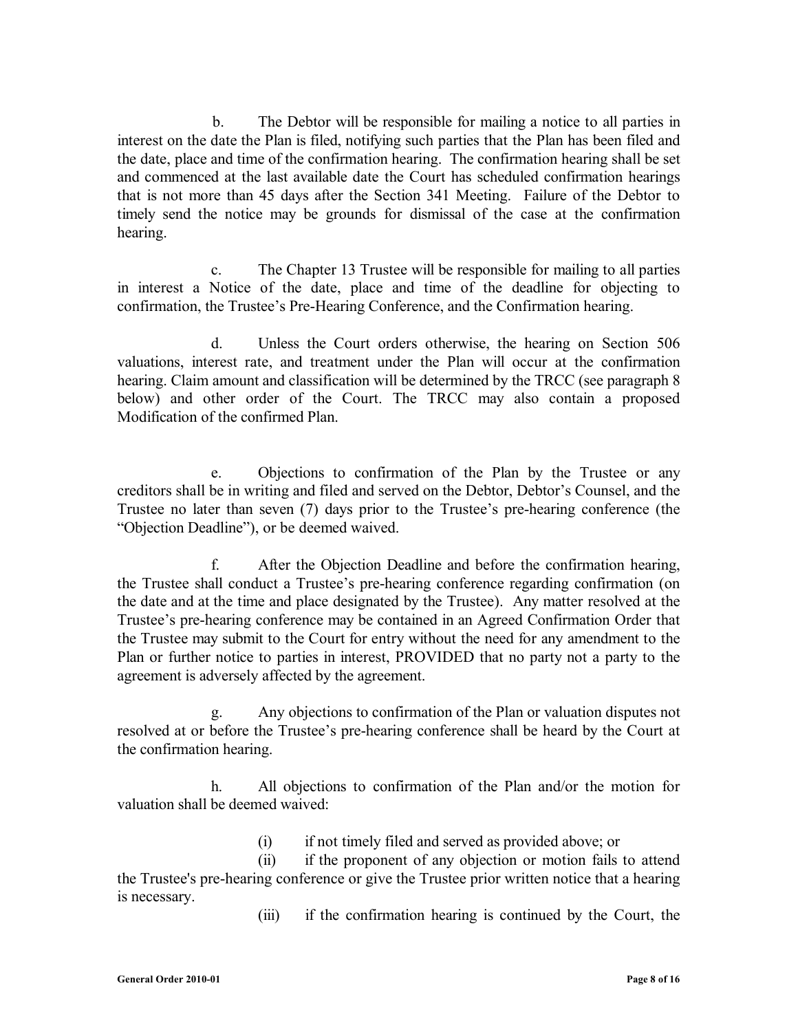b. The Debtor will be responsible for mailing a notice to all parties in interest on the date the Plan is filed, notifying such parties that the Plan has been filed and the date, place and time of the confirmation hearing. The confirmation hearing shall be set and commenced at the last available date the Court has scheduled confirmation hearings that is not more than 45 days after the Section 341 Meeting. Failure of the Debtor to timely send the notice may be grounds for dismissal of the case at the confirmation hearing.

c. The Chapter 13 Trustee will be responsible for mailing to all parties in interest a Notice of the date, place and time of the deadline for objecting to confirmation, the Trustee's Pre-Hearing Conference, and the Confirmation hearing.

d. Unless the Court orders otherwise, the hearing on Section 506 valuations, interest rate, and treatment under the Plan will occur at the confirmation hearing. Claim amount and classification will be determined by the TRCC (see paragraph 8 below) and other order of the Court. The TRCC may also contain a proposed Modification of the confirmed Plan.

e. Objections to confirmation of the Plan by the Trustee or any creditors shall be in writing and filed and served on the Debtor, Debtor's Counsel, and the Trustee no later than seven (7) days prior to the Trustee's pre-hearing conference (the "Objection Deadline"), or be deemed waived.

f. After the Objection Deadline and before the confirmation hearing, the Trustee shall conduct a Trustee's pre-hearing conference regarding confirmation (on the date and at the time and place designated by the Trustee). Any matter resolved at the Trustee's pre-hearing conference may be contained in an Agreed Confirmation Order that the Trustee may submit to the Court for entry without the need for any amendment to the Plan or further notice to parties in interest, PROVIDED that no party not a party to the agreement is adversely affected by the agreement.

g. Any objections to confirmation of the Plan or valuation disputes not resolved at or before the Trustee's pre-hearing conference shall be heard by the Court at the confirmation hearing.

h. All objections to confirmation of the Plan and/or the motion for valuation shall be deemed waived:

(i) if not timely filed and served as provided above; or

(ii) if the proponent of any objection or motion fails to attend the Trustee's pre-hearing conference or give the Trustee prior written notice that a hearing is necessary.

(iii) if the confirmation hearing is continued by the Court, the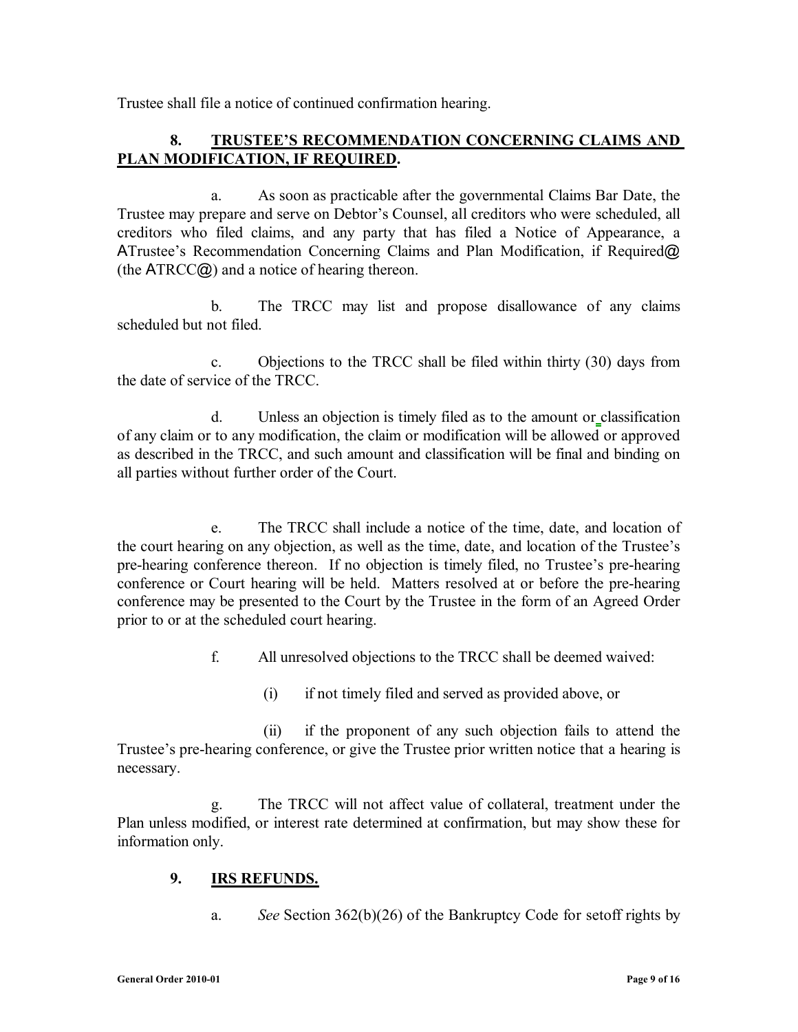Trustee shall file a notice of continued confirmation hearing.

# **8. TRUSTEE'S RECOMMENDATION CONCERNING CLAIMS AND PLAN MODIFICATION, IF REQUIRED.**

a. As soon as practicable after the governmental Claims Bar Date, the Trustee may prepare and serve on Debtor's Counsel, all creditors who were scheduled, all creditors who filed claims, and any party that has filed a Notice of Appearance, a ATrustee's Recommendation Concerning Claims and Plan Modification, if Required@ (the ATRCC@) and a notice of hearing thereon.

b. The TRCC may list and propose disallowance of any claims scheduled but not filed.

c. Objections to the TRCC shall be filed within thirty (30) days from the date of service of the TRCC.

d. Unless an objection is timely filed as to the amount or classification of any claim or to any modification, the claim or modification will be allowed or approved as described in the TRCC, and such amount and classification will be final and binding on all parties without further order of the Court.

e. The TRCC shall include a notice of the time, date, and location of the court hearing on any objection, as well as the time, date, and location of the Trustee's pre-hearing conference thereon. If no objection is timely filed, no Trustee's pre-hearing conference or Court hearing will be held. Matters resolved at or before the pre-hearing conference may be presented to the Court by the Trustee in the form of an Agreed Order prior to or at the scheduled court hearing.

f. All unresolved objections to the TRCC shall be deemed waived:

(i) if not timely filed and served as provided above, or

 (ii) if the proponent of any such objection fails to attend the Trustee's pre-hearing conference, or give the Trustee prior written notice that a hearing is necessary.

g. The TRCC will not affect value of collateral, treatment under the Plan unless modified, or interest rate determined at confirmation, but may show these for information only.

### **9. IRS REFUNDS.**

a. *See* Section 362(b)(26) of the Bankruptcy Code for setoff rights by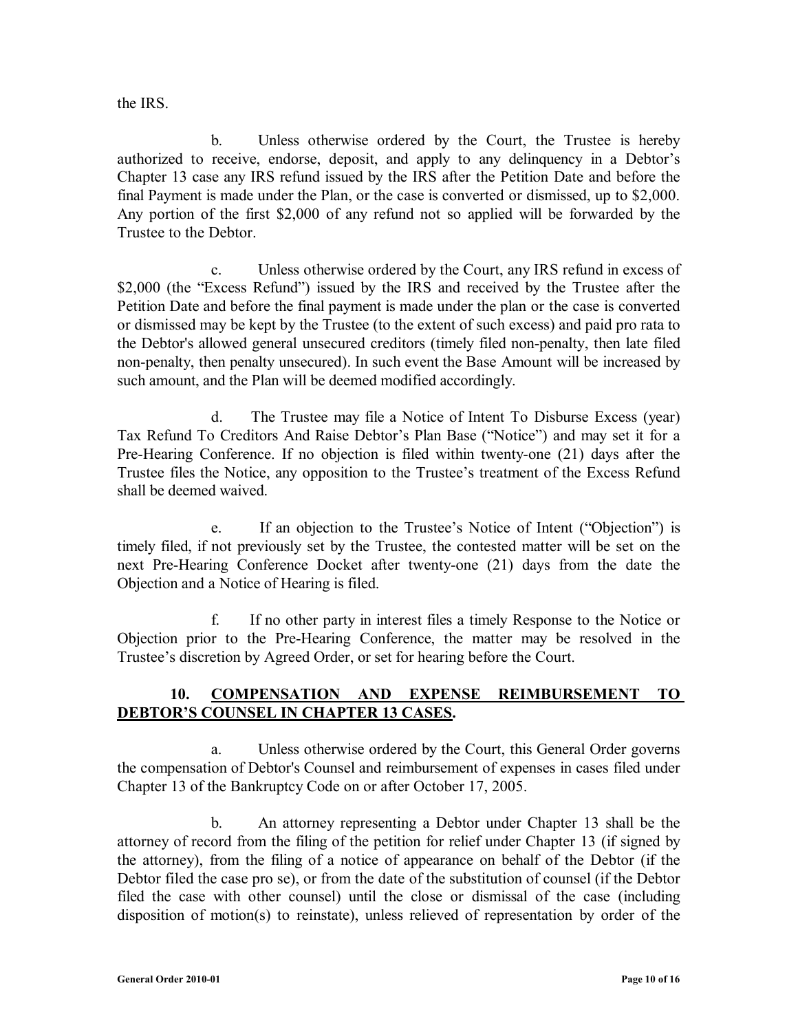the IRS.

b. Unless otherwise ordered by the Court, the Trustee is hereby authorized to receive, endorse, deposit, and apply to any delinquency in a Debtor's Chapter 13 case any IRS refund issued by the IRS after the Petition Date and before the final Payment is made under the Plan, or the case is converted or dismissed, up to \$2,000. Any portion of the first \$2,000 of any refund not so applied will be forwarded by the Trustee to the Debtor.

c. Unless otherwise ordered by the Court, any IRS refund in excess of \$2,000 (the "Excess Refund") issued by the IRS and received by the Trustee after the Petition Date and before the final payment is made under the plan or the case is converted or dismissed may be kept by the Trustee (to the extent of such excess) and paid pro rata to the Debtor's allowed general unsecured creditors (timely filed non-penalty, then late filed non-penalty, then penalty unsecured). In such event the Base Amount will be increased by such amount, and the Plan will be deemed modified accordingly.

d. The Trustee may file a Notice of Intent To Disburse Excess (year) Tax Refund To Creditors And Raise Debtor's Plan Base ("Notice") and may set it for a Pre-Hearing Conference. If no objection is filed within twenty-one (21) days after the Trustee files the Notice, any opposition to the Trustee's treatment of the Excess Refund shall be deemed waived.

e. If an objection to the Trustee's Notice of Intent ("Objection") is timely filed, if not previously set by the Trustee, the contested matter will be set on the next Pre-Hearing Conference Docket after twenty-one (21) days from the date the Objection and a Notice of Hearing is filed.

f. If no other party in interest files a timely Response to the Notice or Objection prior to the Pre-Hearing Conference, the matter may be resolved in the Trustee's discretion by Agreed Order, or set for hearing before the Court.

### **10. COMPENSATION AND EXPENSE REIMBURSEMENT TO DEBTOR'S COUNSEL IN CHAPTER 13 CASES.**

a. Unless otherwise ordered by the Court, this General Order governs the compensation of Debtor's Counsel and reimbursement of expenses in cases filed under Chapter 13 of the Bankruptcy Code on or after October 17, 2005.

b. An attorney representing a Debtor under Chapter 13 shall be the attorney of record from the filing of the petition for relief under Chapter 13 (if signed by the attorney), from the filing of a notice of appearance on behalf of the Debtor (if the Debtor filed the case pro se), or from the date of the substitution of counsel (if the Debtor filed the case with other counsel) until the close or dismissal of the case (including disposition of motion(s) to reinstate), unless relieved of representation by order of the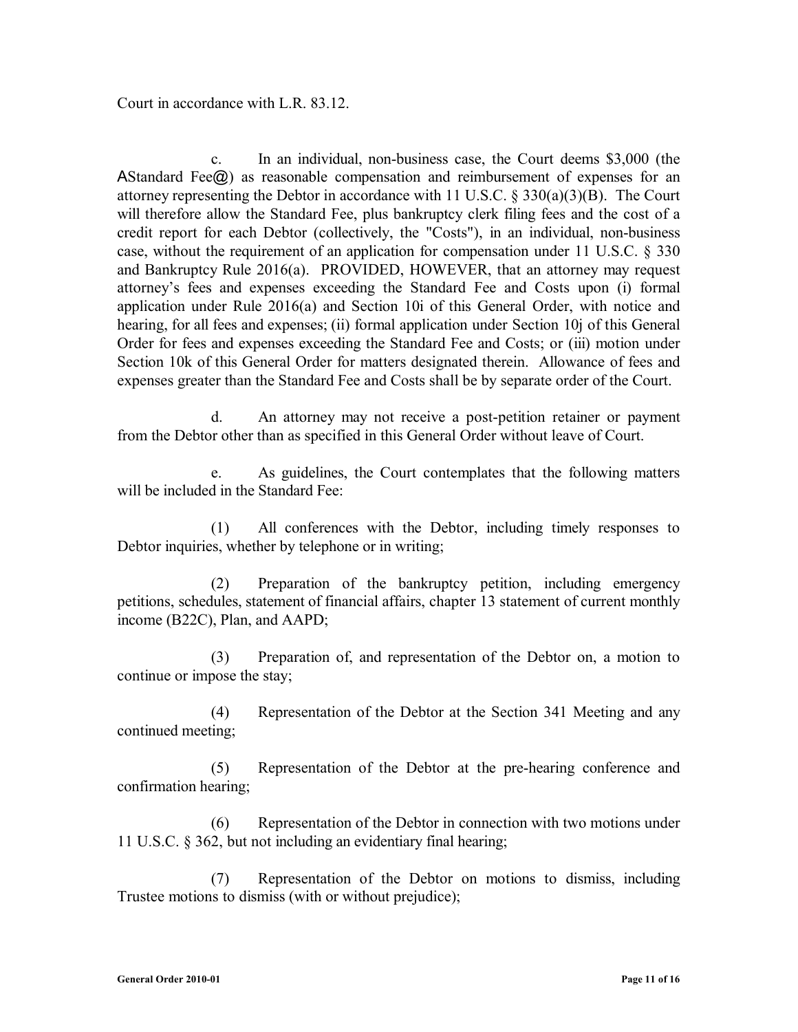Court in accordance with L.R. 83.12.

c. In an individual, non-business case, the Court deems \$3,000 (the AStandard Fee $\omega$ ) as reasonable compensation and reimbursement of expenses for an attorney representing the Debtor in accordance with 11 U.S.C. § 330(a)(3)(B). The Court will therefore allow the Standard Fee, plus bankruptcy clerk filing fees and the cost of a credit report for each Debtor (collectively, the "Costs"), in an individual, non-business case, without the requirement of an application for compensation under 11 U.S.C. § 330 and Bankruptcy Rule 2016(a). PROVIDED, HOWEVER, that an attorney may request attorney's fees and expenses exceeding the Standard Fee and Costs upon (i) formal application under Rule 2016(a) and Section 10i of this General Order, with notice and hearing, for all fees and expenses; (ii) formal application under Section 10j of this General Order for fees and expenses exceeding the Standard Fee and Costs; or (iii) motion under Section 10k of this General Order for matters designated therein. Allowance of fees and expenses greater than the Standard Fee and Costs shall be by separate order of the Court.

d. An attorney may not receive a post-petition retainer or payment from the Debtor other than as specified in this General Order without leave of Court.

e. As guidelines, the Court contemplates that the following matters will be included in the Standard Fee:

(1) All conferences with the Debtor, including timely responses to Debtor inquiries, whether by telephone or in writing;

(2) Preparation of the bankruptcy petition, including emergency petitions, schedules, statement of financial affairs, chapter 13 statement of current monthly income (B22C), Plan, and AAPD;

(3) Preparation of, and representation of the Debtor on, a motion to continue or impose the stay;

(4) Representation of the Debtor at the Section 341 Meeting and any continued meeting;

(5) Representation of the Debtor at the pre-hearing conference and confirmation hearing;

(6) Representation of the Debtor in connection with two motions under 11 U.S.C. § 362, but not including an evidentiary final hearing;

(7) Representation of the Debtor on motions to dismiss, including Trustee motions to dismiss (with or without prejudice);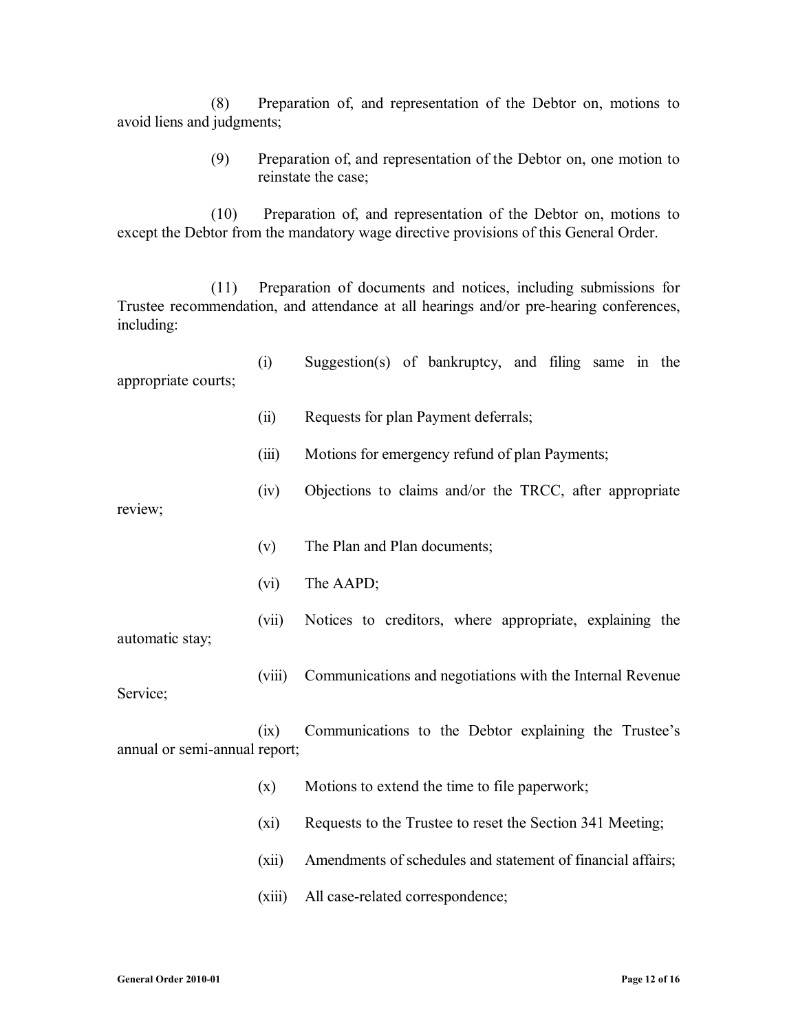(8) Preparation of, and representation of the Debtor on, motions to avoid liens and judgments;

> (9) Preparation of, and representation of the Debtor on, one motion to reinstate the case;

(10) Preparation of, and representation of the Debtor on, motions to except the Debtor from the mandatory wage directive provisions of this General Order.

(11) Preparation of documents and notices, including submissions for Trustee recommendation, and attendance at all hearings and/or pre-hearing conferences, including:

- (i) Suggestion(s) of bankruptcy, and filing same in the appropriate courts;
	- (ii) Requests for plan Payment deferrals;
	- (iii) Motions for emergency refund of plan Payments;
	- (iv) Objections to claims and/or the TRCC, after appropriate

review;

- (v) The Plan and Plan documents;
- (vi) The AAPD;
- (vii) Notices to creditors, where appropriate, explaining the automatic stay;

Service;

(ix) Communications to the Debtor explaining the Trustee's annual or semi-annual report;

- (x) Motions to extend the time to file paperwork;
- (xi) Requests to the Trustee to reset the Section 341 Meeting;

(viii) Communications and negotiations with the Internal Revenue

- (xii) Amendments of schedules and statement of financial affairs;
- (xiii) All case-related correspondence;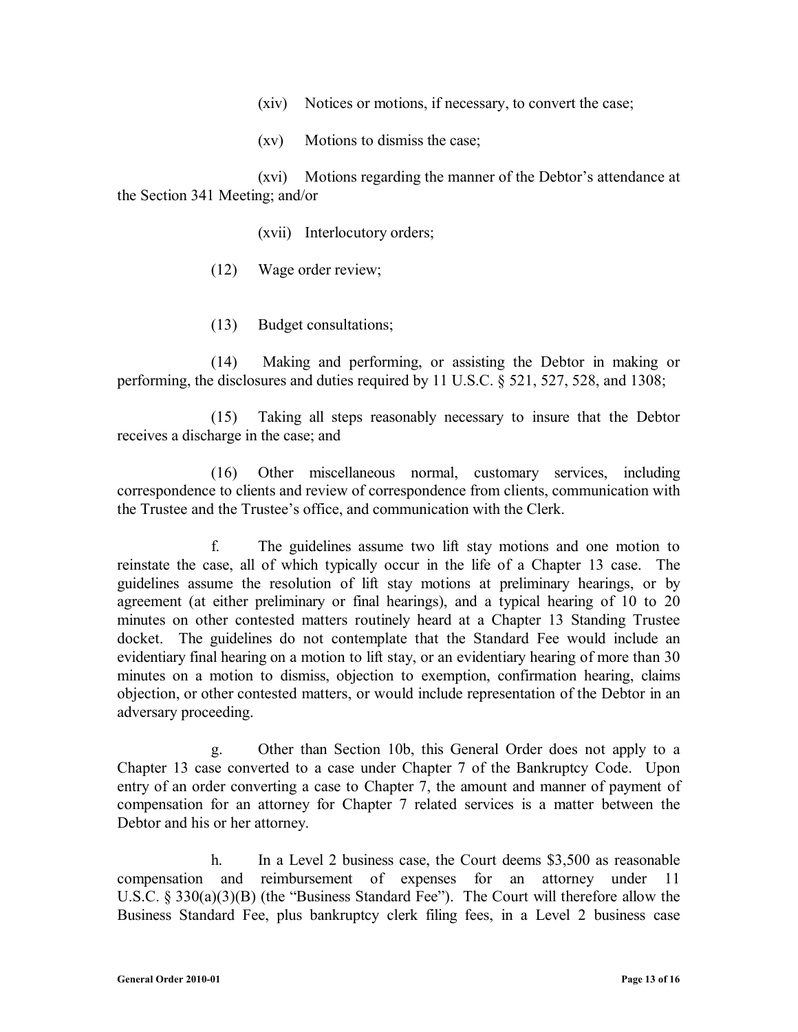- (xiv) Notices or motions, if necessary, to convert the case;
- (xv) Motions to dismiss the case;

(xvi) Motions regarding the manner of the Debtor's attendance at the Section 341 Meeting; and/or

- (xvii) Interlocutory orders;
- (12) Wage order review;
- (13) Budget consultations;

(14) Making and performing, or assisting the Debtor in making or performing, the disclosures and duties required by 11 U.S.C. § 521, 527, 528, and 1308;

(15) Taking all steps reasonably necessary to insure that the Debtor receives a discharge in the case; and

(16) Other miscellaneous normal, customary services, including correspondence to clients and review of correspondence from clients, communication with the Trustee and the Trustee's office, and communication with the Clerk.

f. The guidelines assume two lift stay motions and one motion to reinstate the case, all of which typically occur in the life of a Chapter 13 case. The guidelines assume the resolution of lift stay motions at preliminary hearings, or by agreement (at either preliminary or final hearings), and a typical hearing of 10 to 20 minutes on other contested matters routinely heard at a Chapter 13 Standing Trustee docket. The guidelines do not contemplate that the Standard Fee would include an evidentiary final hearing on a motion to lift stay, or an evidentiary hearing of more than 30 minutes on a motion to dismiss, objection to exemption, confirmation hearing, claims objection, or other contested matters, or would include representation of the Debtor in an adversary proceeding.

g. Other than Section 10b, this General Order does not apply to a Chapter 13 case converted to a case under Chapter 7 of the Bankruptcy Code. Upon entry of an order converting a case to Chapter 7, the amount and manner of payment of compensation for an attorney for Chapter 7 related services is a matter between the Debtor and his or her attorney.

h. In a Level 2 business case, the Court deems \$3,500 as reasonable compensation and reimbursement of expenses for an attorney under 11 U.S.C. § 330(a)(3)(B) (the "Business Standard Fee"). The Court will therefore allow the Business Standard Fee, plus bankruptcy clerk filing fees, in a Level 2 business case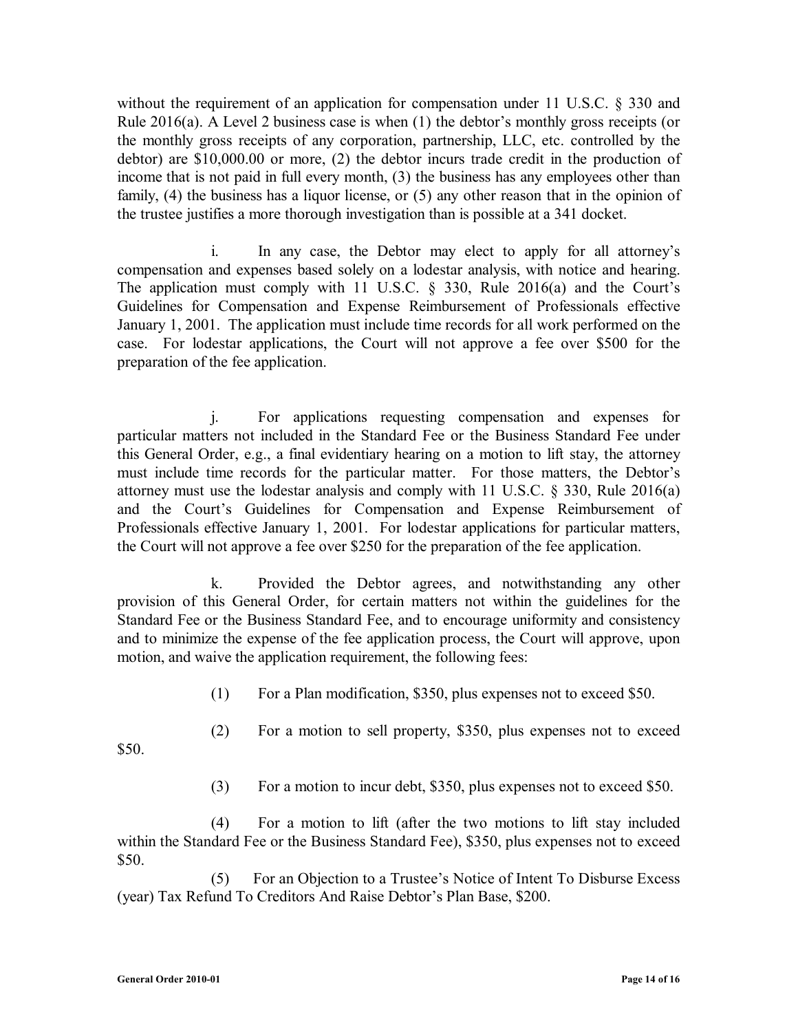without the requirement of an application for compensation under 11 U.S.C. § 330 and Rule 2016(a). A Level 2 business case is when (1) the debtor's monthly gross receipts (or the monthly gross receipts of any corporation, partnership, LLC, etc. controlled by the debtor) are \$10,000.00 or more, (2) the debtor incurs trade credit in the production of income that is not paid in full every month, (3) the business has any employees other than family, (4) the business has a liquor license, or (5) any other reason that in the opinion of the trustee justifies a more thorough investigation than is possible at a 341 docket.

i. In any case, the Debtor may elect to apply for all attorney's compensation and expenses based solely on a lodestar analysis, with notice and hearing. The application must comply with 11 U.S.C. § 330, Rule 2016(a) and the Court's Guidelines for Compensation and Expense Reimbursement of Professionals effective January 1, 2001. The application must include time records for all work performed on the case. For lodestar applications, the Court will not approve a fee over \$500 for the preparation of the fee application.

j. For applications requesting compensation and expenses for particular matters not included in the Standard Fee or the Business Standard Fee under this General Order, e.g., a final evidentiary hearing on a motion to lift stay, the attorney must include time records for the particular matter. For those matters, the Debtor's attorney must use the lodestar analysis and comply with 11 U.S.C. § 330, Rule 2016(a) and the Court's Guidelines for Compensation and Expense Reimbursement of Professionals effective January 1, 2001. For lodestar applications for particular matters, the Court will not approve a fee over \$250 for the preparation of the fee application.

k. Provided the Debtor agrees, and notwithstanding any other provision of this General Order, for certain matters not within the guidelines for the Standard Fee or the Business Standard Fee, and to encourage uniformity and consistency and to minimize the expense of the fee application process, the Court will approve, upon motion, and waive the application requirement, the following fees:

- (1) For a Plan modification, \$350, plus expenses not to exceed \$50.
- (2) For a motion to sell property, \$350, plus expenses not to exceed

\$50.

(3) For a motion to incur debt, \$350, plus expenses not to exceed \$50.

(4) For a motion to lift (after the two motions to lift stay included within the Standard Fee or the Business Standard Fee), \$350, plus expenses not to exceed \$50.

(5) For an Objection to a Trustee's Notice of Intent To Disburse Excess (year) Tax Refund To Creditors And Raise Debtor's Plan Base, \$200.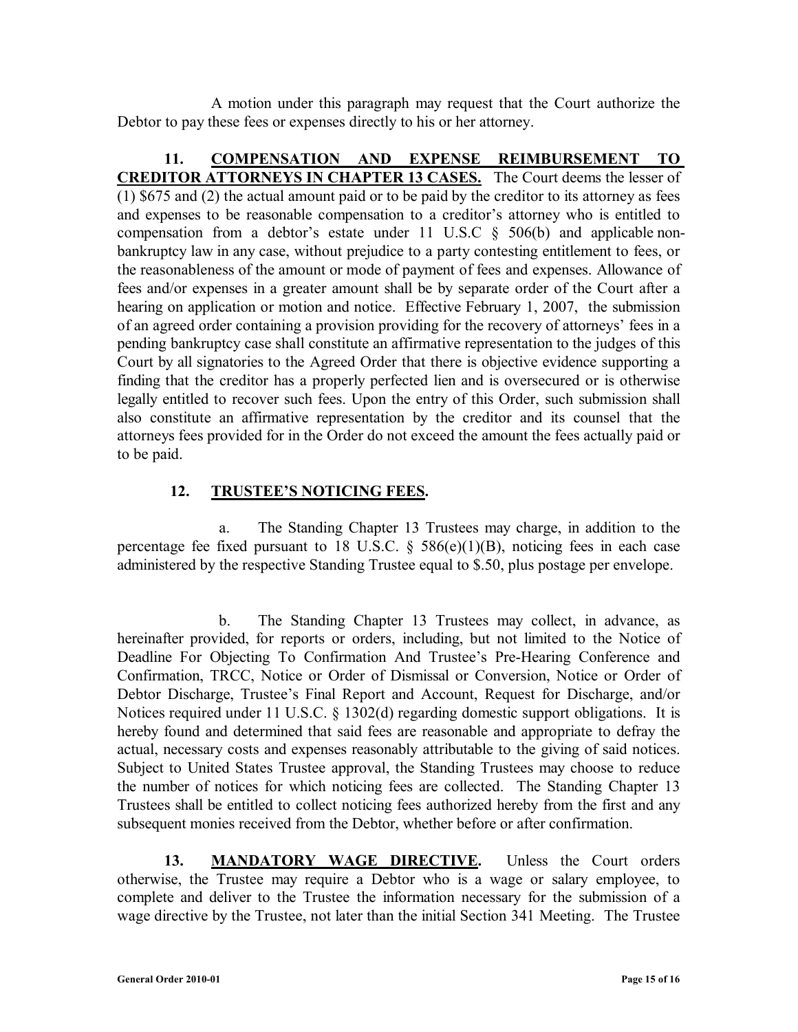A motion under this paragraph may request that the Court authorize the Debtor to pay these fees or expenses directly to his or her attorney.

**11. COMPENSATION AND EXPENSE REIMBURSEMENT TO CREDITOR ATTORNEYS IN CHAPTER 13 CASES.** The Court deems the lesser of (1) \$675 and (2) the actual amount paid or to be paid by the creditor to its attorney as fees and expenses to be reasonable compensation to a creditor's attorney who is entitled to compensation from a debtor's estate under 11 U.S.C  $\S$  506(b) and applicable nonbankruptcy law in any case, without prejudice to a party contesting entitlement to fees, or the reasonableness of the amount or mode of payment of fees and expenses. Allowance of fees and/or expenses in a greater amount shall be by separate order of the Court after a hearing on application or motion and notice. Effective February 1, 2007, the submission of an agreed order containing a provision providing for the recovery of attorneys' fees in a pending bankruptcy case shall constitute an affirmative representation to the judges of this Court by all signatories to the Agreed Order that there is objective evidence supporting a finding that the creditor has a properly perfected lien and is oversecured or is otherwise legally entitled to recover such fees. Upon the entry of this Order, such submission shall also constitute an affirmative representation by the creditor and its counsel that the attorneys fees provided for in the Order do not exceed the amount the fees actually paid or to be paid.

#### **12. TRUSTEE'S NOTICING FEES.**

 a. The Standing Chapter 13 Trustees may charge, in addition to the percentage fee fixed pursuant to 18 U.S.C.  $\delta$  586(e)(1)(B), noticing fees in each case administered by the respective Standing Trustee equal to \$.50, plus postage per envelope.

 b. The Standing Chapter 13 Trustees may collect, in advance, as hereinafter provided, for reports or orders, including, but not limited to the Notice of Deadline For Objecting To Confirmation And Trustee's Pre-Hearing Conference and Confirmation, TRCC, Notice or Order of Dismissal or Conversion, Notice or Order of Debtor Discharge, Trustee's Final Report and Account, Request for Discharge, and/or Notices required under 11 U.S.C. § 1302(d) regarding domestic support obligations. It is hereby found and determined that said fees are reasonable and appropriate to defray the actual, necessary costs and expenses reasonably attributable to the giving of said notices. Subject to United States Trustee approval, the Standing Trustees may choose to reduce the number of notices for which noticing fees are collected. The Standing Chapter 13 Trustees shall be entitled to collect noticing fees authorized hereby from the first and any subsequent monies received from the Debtor, whether before or after confirmation.

**13. MANDATORY WAGE DIRECTIVE.** Unless the Court orders otherwise, the Trustee may require a Debtor who is a wage or salary employee, to complete and deliver to the Trustee the information necessary for the submission of a wage directive by the Trustee, not later than the initial Section 341 Meeting. The Trustee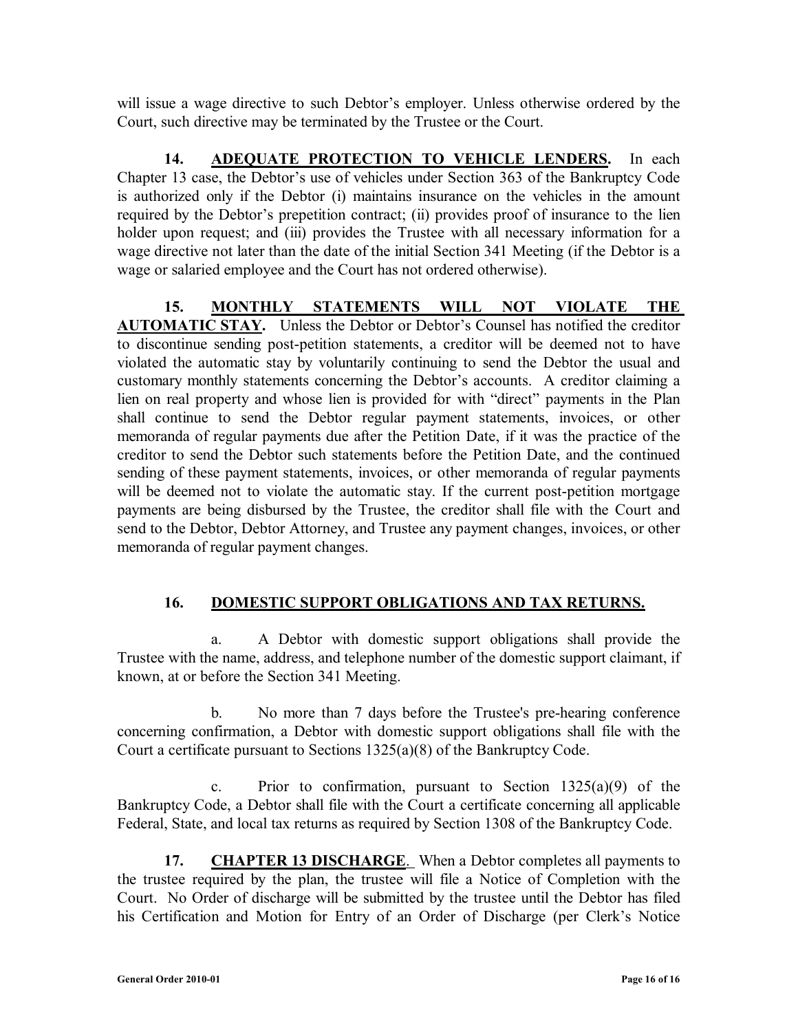will issue a wage directive to such Debtor's employer. Unless otherwise ordered by the Court, such directive may be terminated by the Trustee or the Court.

**14. ADEQUATE PROTECTION TO VEHICLE LENDERS.** In each Chapter 13 case, the Debtor's use of vehicles under Section 363 of the Bankruptcy Code is authorized only if the Debtor (i) maintains insurance on the vehicles in the amount required by the Debtor's prepetition contract; (ii) provides proof of insurance to the lien holder upon request; and (iii) provides the Trustee with all necessary information for a wage directive not later than the date of the initial Section 341 Meeting (if the Debtor is a wage or salaried employee and the Court has not ordered otherwise).

**15. MONTHLY STATEMENTS WILL NOT VIOLATE THE AUTOMATIC STAY.** Unless the Debtor or Debtor's Counsel has notified the creditor to discontinue sending post-petition statements, a creditor will be deemed not to have violated the automatic stay by voluntarily continuing to send the Debtor the usual and customary monthly statements concerning the Debtor's accounts. A creditor claiming a lien on real property and whose lien is provided for with "direct" payments in the Plan shall continue to send the Debtor regular payment statements, invoices, or other memoranda of regular payments due after the Petition Date, if it was the practice of the creditor to send the Debtor such statements before the Petition Date, and the continued sending of these payment statements, invoices, or other memoranda of regular payments will be deemed not to violate the automatic stay. If the current post-petition mortgage payments are being disbursed by the Trustee, the creditor shall file with the Court and send to the Debtor, Debtor Attorney, and Trustee any payment changes, invoices, or other memoranda of regular payment changes.

### **16. DOMESTIC SUPPORT OBLIGATIONS AND TAX RETURNS.**

a. A Debtor with domestic support obligations shall provide the Trustee with the name, address, and telephone number of the domestic support claimant, if known, at or before the Section 341 Meeting.

b. No more than 7 days before the Trustee's pre-hearing conference concerning confirmation, a Debtor with domestic support obligations shall file with the Court a certificate pursuant to Sections 1325(a)(8) of the Bankruptcy Code.

c. Prior to confirmation, pursuant to Section  $1325(a)(9)$  of the Bankruptcy Code, a Debtor shall file with the Court a certificate concerning all applicable Federal, State, and local tax returns as required by Section 1308 of the Bankruptcy Code.

**17. CHAPTER 13 DISCHARGE.** When a Debtor completes all payments to the trustee required by the plan, the trustee will file a Notice of Completion with the Court. No Order of discharge will be submitted by the trustee until the Debtor has filed his Certification and Motion for Entry of an Order of Discharge (per Clerk's Notice